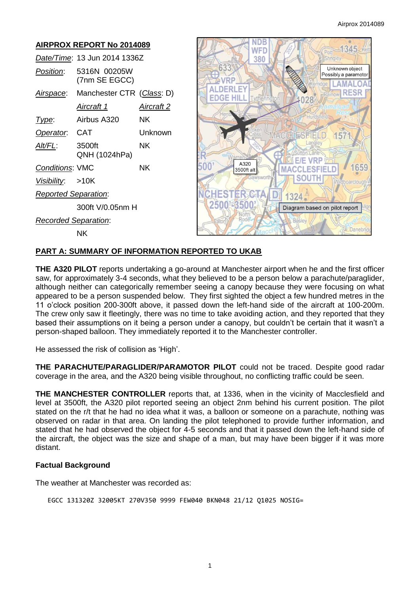# **AIRPROX REPORT No 2014089** *Date/Time*: 13 Jun 2014 1336Z *Position*: 5316N 00205W (7nm SE EGCC) *Airspace*: Manchester CTR (*Class*: D) *Aircraft 1 Aircraft 2 Type*: Airbus A320 NK *Operator*: CAT Unknown *Alt/FL*: 3500ft NK QNH (1024hPa) **Conditions: VMC NK** *Visibility*: >10K *Reported Separation*: 300ft V/0.05nm H *Recorded Separation*: NK



# **PART A: SUMMARY OF INFORMATION REPORTED TO UKAB**

**THE A320 PILOT** reports undertaking a go-around at Manchester airport when he and the first officer saw, for approximately 3-4 seconds, what they believed to be a person below a parachute/paraglider, although neither can categorically remember seeing a canopy because they were focusing on what appeared to be a person suspended below. They first sighted the object a few hundred metres in the 11 o'clock position 200-300ft above, it passed down the left-hand side of the aircraft at 100-200m. The crew only saw it fleetingly, there was no time to take avoiding action, and they reported that they based their assumptions on it being a person under a canopy, but couldn't be certain that it wasn't a person-shaped balloon. They immediately reported it to the Manchester controller.

He assessed the risk of collision as 'High'.

**THE PARACHUTE/PARAGLIDER/PARAMOTOR PILOT** could not be traced. Despite good radar coverage in the area, and the A320 being visible throughout, no conflicting traffic could be seen.

**THE MANCHESTER CONTROLLER** reports that, at 1336, when in the vicinity of Macclesfield and level at 3500ft, the A320 pilot reported seeing an object 2nm behind his current position. The pilot stated on the r/t that he had no idea what it was, a balloon or someone on a parachute, nothing was observed on radar in that area. On landing the pilot telephoned to provide further information, and stated that he had observed the object for 4-5 seconds and that it passed down the left-hand side of the aircraft, the object was the size and shape of a man, but may have been bigger if it was more distant.

## **Factual Background**

The weather at Manchester was recorded as:

EGCC 131320Z 32005KT 270V350 9999 FEW040 BKN048 21/12 Q1025 NOSIG=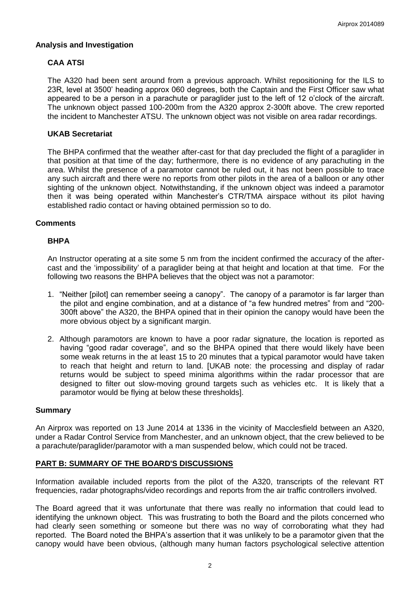#### **Analysis and Investigation**

# **CAA ATSI**

The A320 had been sent around from a previous approach. Whilst repositioning for the ILS to 23R, level at 3500' heading approx 060 degrees, both the Captain and the First Officer saw what appeared to be a person in a parachute or paraglider just to the left of 12 o'clock of the aircraft. The unknown object passed 100-200m from the A320 approx 2-300ft above. The crew reported the incident to Manchester ATSU. The unknown object was not visible on area radar recordings.

#### **UKAB Secretariat**

The BHPA confirmed that the weather after-cast for that day precluded the flight of a paraglider in that position at that time of the day; furthermore, there is no evidence of any parachuting in the area. Whilst the presence of a paramotor cannot be ruled out, it has not been possible to trace any such aircraft and there were no reports from other pilots in the area of a balloon or any other sighting of the unknown object. Notwithstanding, if the unknown object was indeed a paramotor then it was being operated within Manchester's CTR/TMA airspace without its pilot having established radio contact or having obtained permission so to do.

#### **Comments**

## **BHPA**

An Instructor operating at a site some 5 nm from the incident confirmed the accuracy of the aftercast and the 'impossibility' of a paraglider being at that height and location at that time. For the following two reasons the BHPA believes that the object was not a paramotor:

- 1. "Neither [pilot] can remember seeing a canopy". The canopy of a paramotor is far larger than the pilot and engine combination, and at a distance of "a few hundred metres" from and "200- 300ft above" the A320, the BHPA opined that in their opinion the canopy would have been the more obvious object by a significant margin.
- 2. Although paramotors are known to have a poor radar signature, the location is reported as having "good radar coverage", and so the BHPA opined that there would likely have been some weak returns in the at least 15 to 20 minutes that a typical paramotor would have taken to reach that height and return to land. [UKAB note: the processing and display of radar returns would be subject to speed minima algorithms within the radar processor that are designed to filter out slow-moving ground targets such as vehicles etc. It is likely that a paramotor would be flying at below these thresholds].

#### **Summary**

An Airprox was reported on 13 June 2014 at 1336 in the vicinity of Macclesfield between an A320, under a Radar Control Service from Manchester, and an unknown object, that the crew believed to be a parachute/paraglider/paramotor with a man suspended below, which could not be traced.

## **PART B: SUMMARY OF THE BOARD'S DISCUSSIONS**

Information available included reports from the pilot of the A320, transcripts of the relevant RT frequencies, radar photographs/video recordings and reports from the air traffic controllers involved.

The Board agreed that it was unfortunate that there was really no information that could lead to identifying the unknown object. This was frustrating to both the Board and the pilots concerned who had clearly seen something or someone but there was no way of corroborating what they had reported. The Board noted the BHPA's assertion that it was unlikely to be a paramotor given that the canopy would have been obvious, (although many human factors psychological selective attention